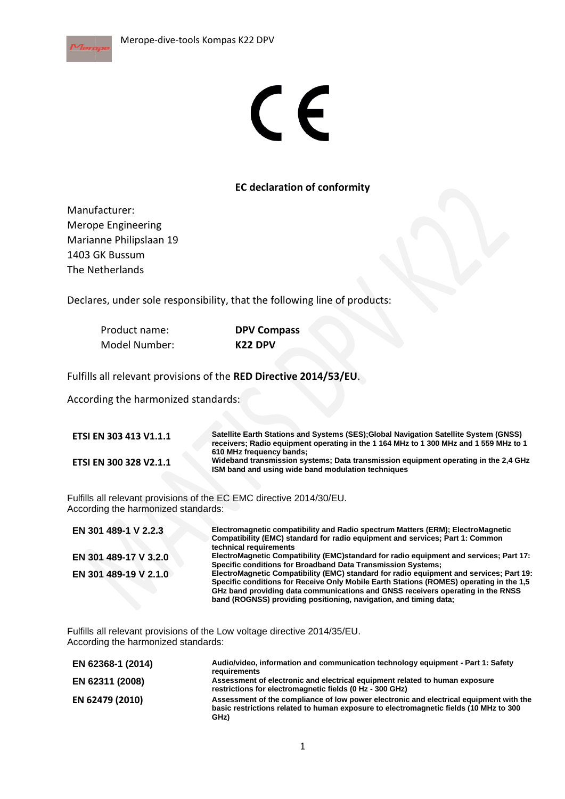

## CE

## **EC declaration of conformity**

Manufacturer: Merope Engineering Marianne Philipslaan 19 1403 GK Bussum The Netherlands

Declares, under sole responsibility, that the following line of products:

| Product name: | <b>DPV Compass</b>  |  |
|---------------|---------------------|--|
| Model Number: | K <sub>22</sub> DPV |  |

Fulfills all relevant provisions of the **RED Directive 2014/53/EU**.

According the harmonized standards:

| <b>ETSI EN 303 413 V1.1.1</b> | Satellite Earth Stations and Systems (SES); Global Navigation Satellite System (GNSS)<br>receivers; Radio equipment operating in the 1 164 MHz to 1 300 MHz and 1 559 MHz to 1 |
|-------------------------------|--------------------------------------------------------------------------------------------------------------------------------------------------------------------------------|
| <b>ETSI EN 300 328 V2.1.1</b> | 610 MHz frequency bands;<br>Wideband transmission systems; Data transmission equipment operating in the 2.4 GHz<br>ISM band and using wide band modulation techniques          |

Fulfills all relevant provisions of the EC EMC directive 2014/30/EU. According the harmonized standards:

| EN 301 489-1 V 2.2.3  | Electromagnetic compatibility and Radio spectrum Matters (ERM); ElectroMagnetic<br>Compatibility (EMC) standard for radio equipment and services; Part 1: Common<br>technical requirements                                                                                                                                                 |
|-----------------------|--------------------------------------------------------------------------------------------------------------------------------------------------------------------------------------------------------------------------------------------------------------------------------------------------------------------------------------------|
| EN 301 489-17 V 3.2.0 | ElectroMagnetic Compatibility (EMC)standard for radio equipment and services; Part 17:<br>Specific conditions for Broadband Data Transmission Systems;                                                                                                                                                                                     |
| EN 301 489-19 V 2.1.0 | ElectroMagnetic Compatibility (EMC) standard for radio equipment and services; Part 19:<br>Specific conditions for Receive Only Mobile Earth Stations (ROMES) operating in the 1.5<br>GHz band providing data communications and GNSS receivers operating in the RNSS<br>band (ROGNSS) providing positioning, navigation, and timing data; |

Fulfills all relevant provisions of the Low voltage directive 2014/35/EU. According the harmonized standards:

| EN 62368-1 (2014) | Audio/video, information and communication technology equipment - Part 1: Safety<br>requirements                                                                                        |
|-------------------|-----------------------------------------------------------------------------------------------------------------------------------------------------------------------------------------|
| EN 62311 (2008)   | Assessment of electronic and electrical equipment related to human exposure<br>restrictions for electromagnetic fields (0 Hz - 300 GHz)                                                 |
| EN 62479 (2010)   | Assessment of the compliance of low power electronic and electrical equipment with the<br>basic restrictions related to human exposure to electromagnetic fields (10 MHz to 300<br>GHz) |